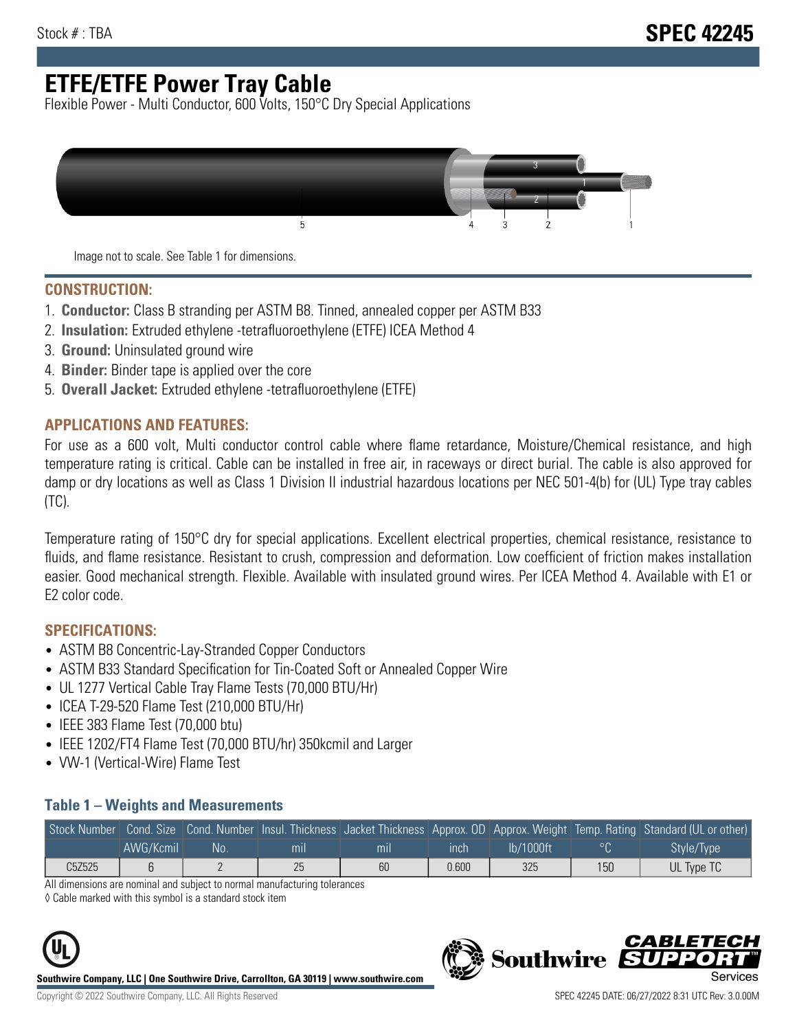# **ETFE/ETFE Power Tray Cable**

Flexible Power - Multi Conductor, 600 Volts, 150°C Dry Special Applications



Image not to scale. See Table 1 for dimensions.

#### **CONSTRUCTION:**

- 1. **Conductor:** Class B stranding per ASTM B8. Tinned, annealed copper per ASTM B33
- 2. **Insulation:** Extruded ethylene -tetrafluoroethylene (ETFE) ICEA Method 4
- 3. **Ground:** Uninsulated ground wire
- 4. **Binder:** Binder tape is applied over the core
- 5. **Overall Jacket:** Extruded ethylene -tetrafluoroethylene (ETFE)

### **APPLICATIONS AND FEATURES:**

For use as a 600 volt, Multi conductor control cable where flame retardance, Moisture/Chemical resistance, and high temperature rating is critical. Cable can be installed in free air, in raceways or direct burial. The cable is also approved for damp or dry locations as well as Class 1 Division II industrial hazardous locations per NEC 501-4(b) for (UL) Type tray cables (TC).

Temperature rating of 150°C dry for special applications. Excellent electrical properties, chemical resistance, resistance to fluids, and flame resistance. Resistant to crush, compression and deformation. Low coefficient of friction makes installation easier. Good mechanical strength. Flexible. Available with insulated ground wires. Per ICEA Method 4. Available with E1 or E2 color code.

### **SPECIFICATIONS:**

- ASTM B8 Concentric-Lay-Stranded Copper Conductors
- ASTM B33 Standard Specification for Tin-Coated Soft or Annealed Copper Wire
- UL 1277 Vertical Cable Tray Flame Tests (70,000 BTU/Hr)
- ICEA T-29-520 Flame Test (210,000 BTU/Hr)
- IEEE 383 Flame Test (70,000 btu)
- IEEE 1202/FT4 Flame Test (70,000 BTU/hr) 350kcmil and Larger
- VW-1 (Vertical-Wire) Flame Test

#### **Table 1 – Weights and Measurements**

| Stock Number |           |    |     |     |       |           |     | Cond. Size Cond. Number Insul. Thickness Jacket Thickness Approx. OD Approx. Weight Temp. Rating Standard (UL or other) |
|--------------|-----------|----|-----|-----|-------|-----------|-----|-------------------------------------------------------------------------------------------------------------------------|
|              | AWG/Kcmil | No | mıl | mil | ınch  | lb/1000ft | ം   | Style/Type                                                                                                              |
| C5Z525       |           |    | 25  | 60  | 0.600 | 325       | 150 | UL Type TC                                                                                                              |

All dimensions are nominal and subject to normal manufacturing tolerances

◊ Cable marked with this symbol is a standard stock item



**Southwire Company, LLC | One Southwire Drive, Carrollton, GA 30119 | www.southwire.com**

CARLET